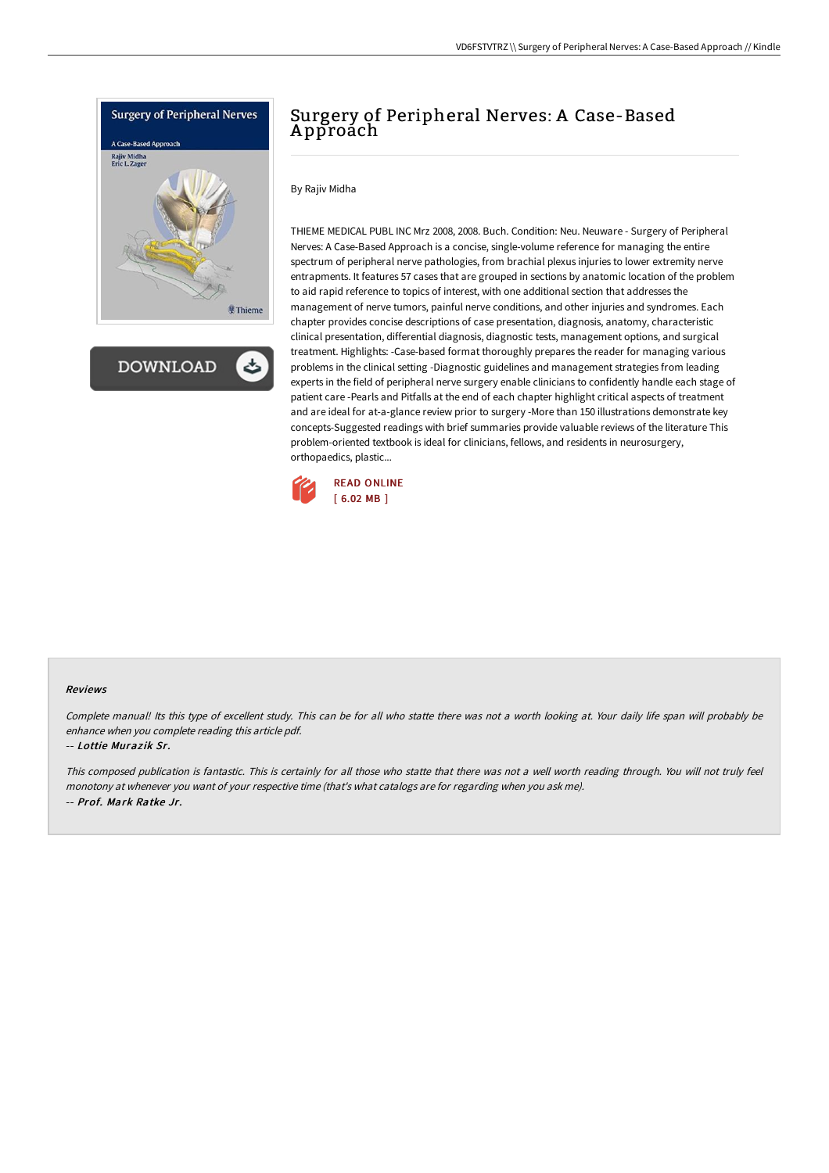

**DOWNLOAD** 

## Surgery of Peripheral Nerves: A Case-Based A pproach

By Rajiv Midha

THIEME MEDICAL PUBL INC Mrz 2008, 2008. Buch. Condition: Neu. Neuware - Surgery of Peripheral Nerves: A Case-Based Approach is a concise, single-volume reference for managing the entire spectrum of peripheral nerve pathologies, from brachial plexus injuries to lower extremity nerve entrapments. It features 57 cases that are grouped in sections by anatomic location of the problem to aid rapid reference to topics of interest, with one additional section that addresses the management of nerve tumors, painful nerve conditions, and other injuries and syndromes. Each chapter provides concise descriptions of case presentation, diagnosis, anatomy, characteristic clinical presentation, differential diagnosis, diagnostic tests, management options, and surgical treatment. Highlights: -Case-based format thoroughly prepares the reader for managing various problems in the clinical setting -Diagnostic guidelines and management strategies from leading experts in the field of peripheral nerve surgery enable clinicians to confidently handle each stage of patient care -Pearls and Pitfalls at the end of each chapter highlight critical aspects of treatment and are ideal for at-a-glance review prior to surgery -More than 150 illustrations demonstrate key concepts-Suggested readings with brief summaries provide valuable reviews of the literature This problem-oriented textbook is ideal for clinicians, fellows, and residents in neurosurgery, orthopaedics, plastic...



## Reviews

Complete manual! Its this type of excellent study. This can be for all who statte there was not <sup>a</sup> worth looking at. Your daily life span will probably be enhance when you complete reading this article pdf.

## -- Lottie Murazik Sr.

This composed publication is fantastic. This is certainly for all those who statte that there was not a well worth reading through. You will not truly feel monotony at whenever you want of your respective time (that's what catalogs are for regarding when you ask me). -- Prof. Mark Ratke Jr.